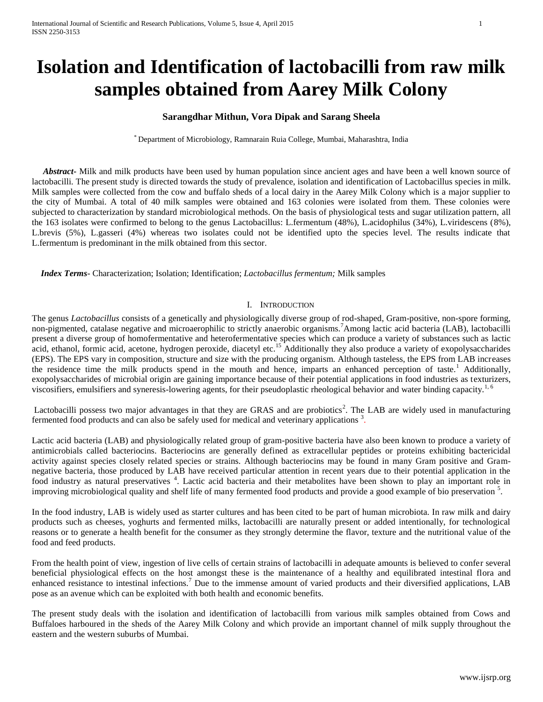# **Isolation and Identification of lactobacilli from raw milk samples obtained from Aarey Milk Colony**

# **Sarangdhar Mithun, Vora Dipak and Sarang Sheela**

\* Department of Microbiology, Ramnarain Ruia College, Mumbai, Maharashtra, India

 *Abstract***-** Milk and milk products have been used by human population since ancient ages and have been a well known source of lactobacilli. The present study is directed towards the study of prevalence, isolation and identification of Lactobacillus species in milk. Milk samples were collected from the cow and buffalo sheds of a local dairy in the Aarey Milk Colony which is a major supplier to the city of Mumbai. A total of 40 milk samples were obtained and 163 colonies were isolated from them. These colonies were subjected to characterization by standard microbiological methods. On the basis of physiological tests and sugar utilization pattern, all the 163 isolates were confirmed to belong to the genus Lactobacillus: L.fermentum (48%), L.acidophilus (34%), L.viridescens (8%), L.brevis (5%), L.gasseri (4%) whereas two isolates could not be identified upto the species level. The results indicate that L.fermentum is predominant in the milk obtained from this sector.

 *Index Terms*- Characterization; Isolation; Identification; *Lactobacillus fermentum;* Milk samples

#### I. INTRODUCTION

The genus *Lactobacillus* consists of a genetically and physiologically diverse group of rod-shaped, Gram-positive, non-spore forming, non-pigmented, catalase negative and microaerophilic to strictly anaerobic organisms.<sup>7</sup>Among lactic acid bacteria (LAB), lactobacilli present a diverse group of homofermentative and heterofermentative species which can produce a variety of substances such as lactic acid, ethanol, formic acid, acetone, hydrogen peroxide, diacetyl etc.<sup>15</sup> Additionally they also produce a variety of exopolysaccharides (EPS). The EPS vary in composition, structure and size with the producing organism. Although tasteless, the EPS from LAB increases the residence time the milk products spend in the mouth and hence, imparts an enhanced perception of taste.<sup>1</sup> Additionally, exopolysaccharides of microbial origin are gaining importance because of their potential applications in food industries as texturizers, viscosifiers, emulsifiers and syneresis-lowering agents, for their pseudoplastic rheological behavior and water binding capacity.<sup>1, 6</sup>

Lactobacilli possess two major advantages in that they are GRAS and are probiotics<sup>2</sup>. The LAB are widely used in manufacturing fermented food products and can also be safely used for medical and veterinary applications<sup>3</sup>.

Lactic acid bacteria (LAB) and physiologically related group of gram-positive bacteria have also been known to produce a variety of antimicrobials called bacteriocins. Bacteriocins are generally defined as extracellular peptides or proteins exhibiting bactericidal activity against species closely related species or strains. Although bacteriocins may be found in many Gram positive and Gramnegative bacteria, those produced by LAB have received particular attention in recent years due to their potential application in the food industry as natural preservatives<sup>4</sup>. Lactic acid bacteria and their metabolites have been shown to play an important role in improving microbiological quality and shelf life of many fermented food products and provide a good example of bio preservation<sup>5</sup>.

In the food industry, LAB is widely used as starter cultures and has been cited to be part of human microbiota. In raw milk and dairy products such as cheeses, yoghurts and fermented milks, lactobacilli are naturally present or added intentionally, for technological reasons or to generate a health benefit for the consumer as they strongly determine the flavor, texture and the nutritional value of the food and feed products.

From the health point of view, ingestion of live cells of certain strains of lactobacilli in adequate amounts is believed to confer several beneficial physiological effects on the host amongst these is the maintenance of a healthy and equilibrated intestinal flora and enhanced resistance to intestinal infections.<sup>7</sup> Due to the immense amount of varied products and their diversified applications, LAB pose as an avenue which can be exploited with both health and economic benefits.

The present study deals with the isolation and identification of lactobacilli from various milk samples obtained from Cows and Buffaloes harboured in the sheds of the Aarey Milk Colony and which provide an important channel of milk supply throughout the eastern and the western suburbs of Mumbai.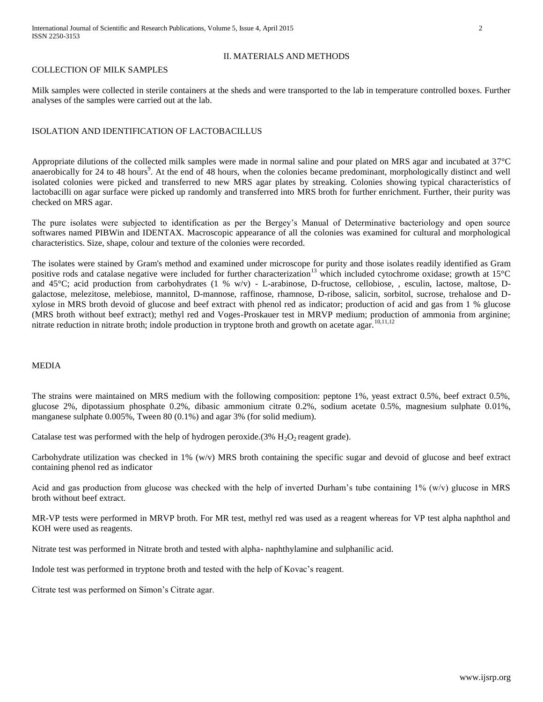#### COLLECTION OF MILK SAMPLES

Milk samples were collected in sterile containers at the sheds and were transported to the lab in temperature controlled boxes. Further analyses of the samples were carried out at the lab.

# ISOLATION AND IDENTIFICATION OF LACTOBACILLUS

Appropriate dilutions of the collected milk samples were made in normal saline and pour plated on MRS agar and incubated at 37°C anaerobically for 24 to 48 hours<sup>9</sup>. At the end of 48 hours, when the colonies became predominant, morphologically distinct and well isolated colonies were picked and transferred to new MRS agar plates by streaking. Colonies showing typical characteristics of lactobacilli on agar surface were picked up randomly and transferred into MRS broth for further enrichment. Further, their purity was checked on MRS agar.

The pure isolates were subjected to identification as per the Bergey's Manual of Determinative bacteriology and open source softwares named PIBWin and IDENTAX. Macroscopic appearance of all the colonies was examined for cultural and morphological characteristics. Size, shape, colour and texture of the colonies were recorded.

The isolates were stained by Gram's method and examined under microscope for purity and those isolates readily identified as Gram positive rods and catalase negative were included for further characterization<sup>13</sup> which included cytochrome oxidase; growth at 15°C and 45°C; acid production from carbohydrates (1 % w/v) - L-arabinose, D-fructose, cellobiose, , esculin, lactose, maltose, Dgalactose, melezitose, melebiose, mannitol, D-mannose, raffinose, rhamnose, D-ribose, salicin, sorbitol, sucrose, trehalose and Dxylose in MRS broth devoid of glucose and beef extract with phenol red as indicator; production of acid and gas from 1 % glucose (MRS broth without beef extract); methyl red and Voges-Proskauer test in MRVP medium; production of ammonia from arginine; nitrate reduction in nitrate broth; indole production in tryptone broth and growth on acetate agar.<sup>10,11,12</sup>

### MEDIA

The strains were maintained on MRS medium with the following composition: peptone 1%, yeast extract 0.5%, beef extract 0.5%, glucose 2%, dipotassium phosphate 0.2%, dibasic ammonium citrate 0.2%, sodium acetate 0.5%, magnesium sulphate 0.01%, manganese sulphate 0.005%, Tween 80 (0.1%) and agar 3% (for solid medium).

Catalase test was performed with the help of hydrogen peroxide.( $3\%$  H<sub>2</sub>O<sub>2</sub> reagent grade).

Carbohydrate utilization was checked in 1% (w/v) MRS broth containing the specific sugar and devoid of glucose and beef extract containing phenol red as indicator

Acid and gas production from glucose was checked with the help of inverted Durham's tube containing 1% (w/v) glucose in MRS broth without beef extract.

MR-VP tests were performed in MRVP broth. For MR test, methyl red was used as a reagent whereas for VP test alpha naphthol and KOH were used as reagents.

Nitrate test was performed in Nitrate broth and tested with alpha- naphthylamine and sulphanilic acid.

Indole test was performed in tryptone broth and tested with the help of Kovac's reagent.

Citrate test was performed on Simon's Citrate agar.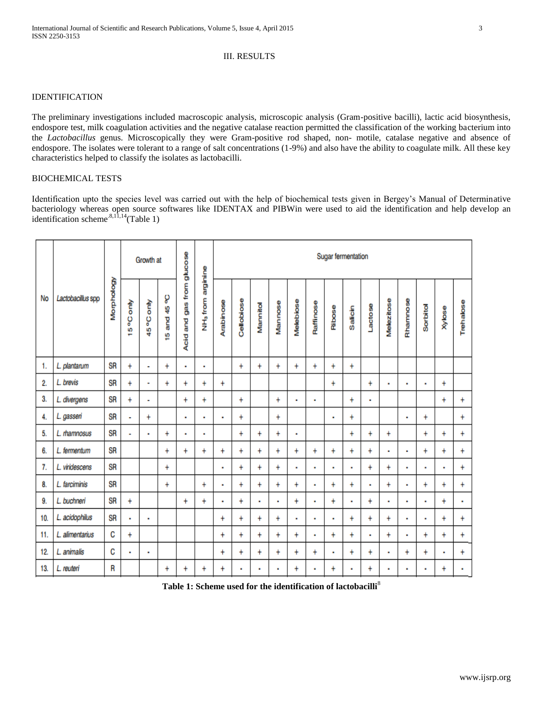# III. RESULTS

## IDENTIFICATION

The preliminary investigations included macroscopic analysis, microscopic analysis (Gram-positive bacilli), lactic acid biosynthesis, endospore test, milk coagulation activities and the negative catalase reaction permitted the classification of the working bacterium into the *Lactobacillus* genus. Microscopically they were Gram-positive rod shaped, non- motile, catalase negative and absence of endospore. The isolates were tolerant to a range of salt concentrations (1-9%) and also have the ability to coagulate milk. All these key characteristics helped to classify the isolates as lactobacilli.

# BIOCHEMICAL TESTS

Identification upto the species level was carried out with the help of biochemical tests given in Bergey's Manual of Determinative bacteriology whereas open source softwares like IDENTAX and PIBWin were used to aid the identification and help develop an identification scheme.<sup>8,11,14</sup>(Table 1)

| No  | Lactobacillus spp | Morphology | Growth at |           |                   |                              |                                  | Sugar fermentation |                |                |                |           |           |                |                |              |                |                |                |               |           |
|-----|-------------------|------------|-----------|-----------|-------------------|------------------------------|----------------------------------|--------------------|----------------|----------------|----------------|-----------|-----------|----------------|----------------|--------------|----------------|----------------|----------------|---------------|-----------|
|     |                   |            | 15°C only | 45°C only | ပွ<br>4<br>15 and | gas from glucose<br>Acid and | arginine<br>NH <sub>3</sub> from | Arabinose          | Cellobiose     | Mannitol       | Mannose        | Melebiose | Raffinose | Ribose         | Salicin        | Lactose      | Melezitose     | Rhamnose       | Sorbitol       | <b>Xylose</b> | Trehalose |
| 1.  | L. plantarum      | SR         | $\ddot{}$ | ۰         | $\ddot{}$         | $\blacksquare$               | ×                                |                    | $\ddot{}$      | $\ddot{}$      | $\ddot{}$      | $\ddot{}$ | $\ddot{}$ | ÷              | $\ddot{}$      |              |                |                |                |               |           |
| 2.  | L. brevis         | <b>SR</b>  | $+$       | ٠         | $\ddot{}$         | $\ddot{}$                    | Ŧ                                | $\ddot{}$          |                |                |                |           |           | $\ddot{}$      |                | $\ddot{}$    | $\blacksquare$ | ٠              | ٠              | $\ddot{}$     |           |
| 3.  | L. divergens      | <b>SR</b>  | $\ddot{}$ | ٠         |                   | $\ddot{}$                    | $\ddot{}$                        |                    | $\ddot{}$      |                | $\ddot{}$      | ٠         | ٠         |                | $\ddot{}$      | ä,           |                |                |                | Ŧ             | $\ddot{}$ |
| 4.  | L. gasseri        | SR         | ٠         | $\ddot{}$ |                   | ٠                            | ٠                                | ٠                  | $\ddot{}$      |                | $\ddot{}$      |           |           | ٠              | $\ddot{}$      |              |                | ٠              | $\ddot{}$      |               | $\ddot{}$ |
| 5.  | L. rhamnosus      | <b>SR</b>  | ٠         | ٠         | $\ddot{}$         | $\blacksquare$               | ×                                |                    | $\ddot{}$      | $\ddot{}$      | $\ddot{}$      | ٠         |           |                | $\ddot{}$      | $\ddot{}$    | $\ddot{}$      |                | $\ddot{}$      | $\ddot{}$     | $\ddot{}$ |
| 6.  | L. fermentum      | <b>SR</b>  |           |           | $\ddot{}$         | $\ddot{}$                    | $\ddot{}$                        | $\ddot{}$          | $\ddot{}$      | $\ddot{}$      | $\ddot{}$      | Ŧ.        | $\ddot{}$ | $\ddot{}$      | $\ddot{}$      | $\ddot{}$    | ٠              | ٠              | ÷              | $\ddot{}$     | $\ddot{}$ |
| 7.  | L. viridescens    | <b>SR</b>  |           |           | $\ddot{}$         |                              |                                  | ä,                 | ÷              | $\ddot{}$      | $\ddot{}$      | ٠         | ٠         | ٠              | ٠              | ÷            | $\ddot{}$      | ٠              | ٠              | à,            | ÷         |
| 8.  | L. farciminis     | <b>SR</b>  |           |           | $\ddot{}$         |                              | $\ddot{}$                        | $\blacksquare$     | $\ddot{}$      | $\ddot{}$      | $\ddot{}$      | $\ddot{}$ | ٠         | $\ddot{}$      | $\ddot{}$      | $\mathbf{r}$ | $\ddot{}$      | ٠              | ÷              | Ŧ             | $\ddot{}$ |
| 9.  | L. buchneri       | <b>SR</b>  | $\ddot{}$ |           |                   | $\ddot{}$                    | $\ddot{}$                        | ٠                  | $\ddot{}$      | ٠              | $\blacksquare$ | Ŧ         | ٠         | $\ddot{}$      | $\blacksquare$ | $\ddot{}$    | ٠              | ٠              | ٠              | $\ddot{}$     | ٠         |
| 10. | L. acidophilus    | SR         | ٠         | ٠         |                   |                              |                                  | $\ddot{}$          | $\ddot{}$      | $\ddot{}$      | $\ddot{}$      | ٠         | ٠         | $\blacksquare$ | $\ddot{}$      | $\ddot{}$    | $\ddot{}$      | ٠              | ×              | $\ddot{}$     | $\ddot{}$ |
| 11. | L. alimentarius   | C          | $\ddot{}$ |           |                   |                              |                                  | $\ddot{}$          | $\ddot{}$      | $\ddot{}$      | $\ddot{}$      | Ŧ         | ٠         | ÷              | $\ddot{}$      | ×            | $\ddot{}$      | ٠              | $\ddot{}$      | ÷             | $\ddot{}$ |
| 12. | L. animalis       | C          | ٠         | ٠         |                   |                              |                                  | $\ddot{}$          | $\ddot{}$      | $\ddot{}$      | $\ddot{}$      | Ŧ         | $\ddot{}$ | ٠              | ÷              | ÷            | $\blacksquare$ | $\ddot{}$      | $^\mathrm{+}$  | ٠             | $\ddot{}$ |
| 13. | L. reuteri        | R          |           |           | $\ddot{}$         | $\ddot{}$                    | $\ddot{}$                        | $\ddot{}$          | $\blacksquare$ | $\blacksquare$ | $\blacksquare$ | ÷         | ٠         | $\ddot{}$      | $\blacksquare$ | $\ddot{}$    | $\blacksquare$ | $\blacksquare$ | $\blacksquare$ | $^\mathrm{+}$ | ٠         |

**Table 1: Scheme used for the identification of lactobacilli**<sup>8</sup>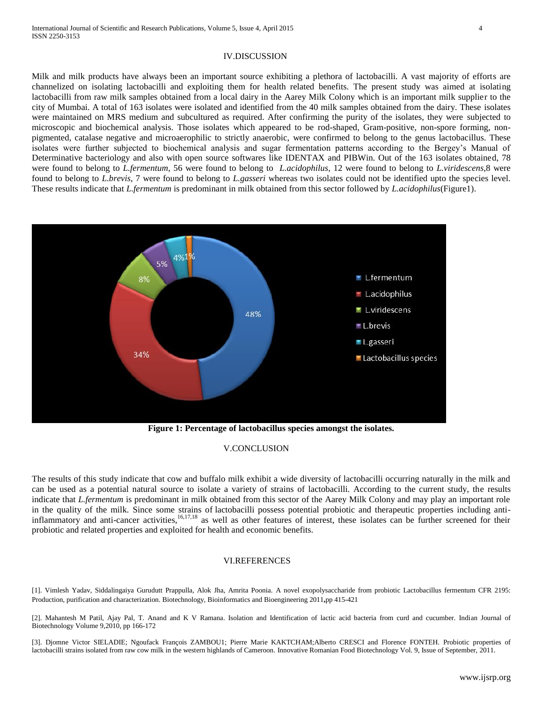#### IV.DISCUSSION

Milk and milk products have always been an important source exhibiting a plethora of lactobacilli. A vast majority of efforts are channelized on isolating lactobacilli and exploiting them for health related benefits. The present study was aimed at isolating lactobacilli from raw milk samples obtained from a local dairy in the Aarey Milk Colony which is an important milk supplier to the city of Mumbai. A total of 163 isolates were isolated and identified from the 40 milk samples obtained from the dairy. These isolates were maintained on MRS medium and subcultured as required. After confirming the purity of the isolates, they were subjected to microscopic and biochemical analysis. Those isolates which appeared to be rod-shaped, Gram-positive, non-spore forming, nonpigmented, catalase negative and microaerophilic to strictly anaerobic, were confirmed to belong to the genus lactobacillus. These isolates were further subjected to biochemical analysis and sugar fermentation patterns according to the Bergey's Manual of Determinative bacteriology and also with open source softwares like IDENTAX and PIBWin. Out of the 163 isolates obtained, 78 were found to belong to *L.fermentum*, 56 were found to belong to *L.acidophilus*, 12 were found to belong to *L.viridescens*,8 were found to belong to *L.brevis*, 7 were found to belong to *L.gasseri* whereas two isolates could not be identified upto the species level. These results indicate that *L.fermentum* is predominant in milk obtained from this sector followed by *L.acidophilus*(Figure1).



**Figure 1: Percentage of lactobacillus species amongst the isolates.**

#### V.CONCLUSION

The results of this study indicate that cow and buffalo milk exhibit a wide diversity of lactobacilli occurring naturally in the milk and can be used as a potential natural source to isolate a variety of strains of lactobacilli. According to the current study, the results indicate that *L.fermentum* is predominant in milk obtained from this sector of the Aarey Milk Colony and may play an important role in the quality of the milk. Since some strains of lactobacilli possess potential probiotic and therapeutic properties including antiinflammatory and anti-cancer activities,<sup>16,17,18</sup> as well as other features of interest, these isolates can be further screened for their probiotic and related properties and exploited for health and economic benefits.

#### VI.REFERENCES

[1]. Vimlesh Yadav, Siddalingaiya Gurudutt Prappulla, Alok Jha, Amrita Poonia. A novel exopolysaccharide from probiotic Lactobacillus fermentum CFR 2195: Production, purification and characterization. Biotechnology, Bioinformatics and Bioengineering 2011**,**pp 415-421

[2]. Mahantesh M Patil, Ajay Pal, T. Anand and K V Ramana. Isolation and Identification of lactic acid bacteria from curd and cucumber. Indian Journal of Biotechnology Volume 9,2010, pp 166-172

[3]. Djomne Victor SIELADIE; Ngoufack François ZAMBOU1; Pierre Marie KAKTCHAM;Alberto CRESCI and Florence FONTEH. Probiotic properties of lactobacilli strains isolated from raw cow milk in the western highlands of Cameroon. Innovative Romanian Food Biotechnology Vol. 9, Issue of September, 2011.